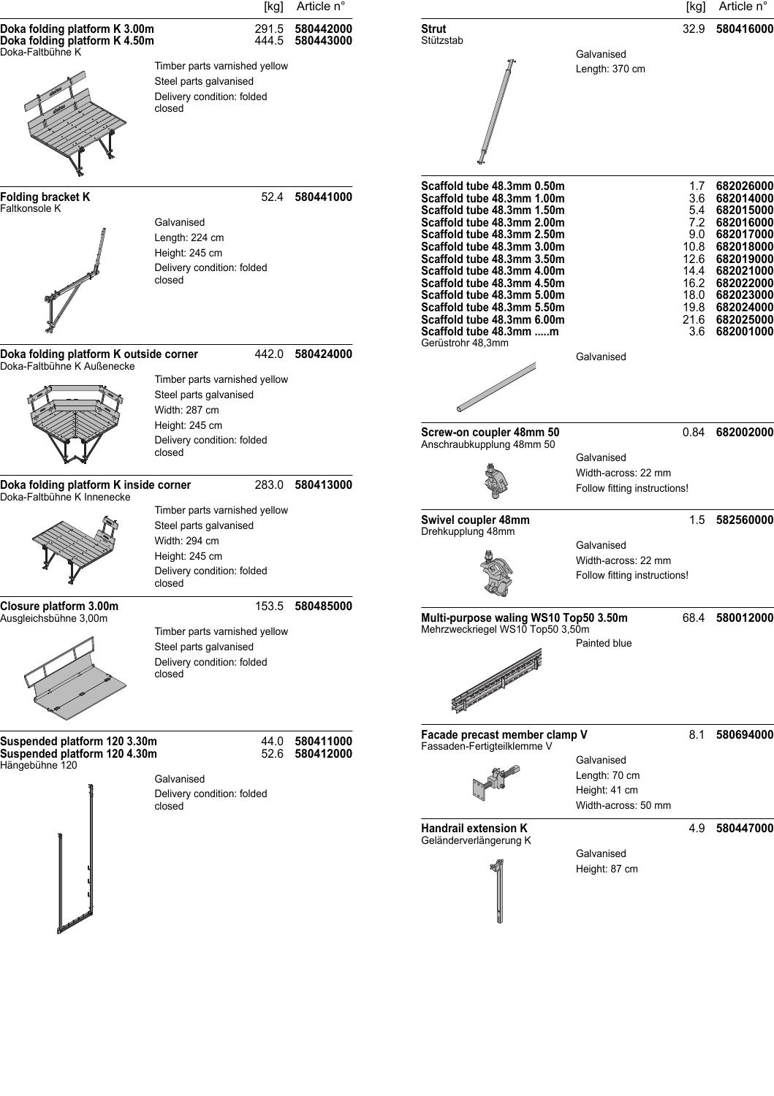|                                                                                    | [kg]                                                                                                                               | Article n°             |                                                                                                                                                                                                                                                                                                                                                                                                |                                                                     | [kg]                     | Article n°                                                                                                                                                                                                       |
|------------------------------------------------------------------------------------|------------------------------------------------------------------------------------------------------------------------------------|------------------------|------------------------------------------------------------------------------------------------------------------------------------------------------------------------------------------------------------------------------------------------------------------------------------------------------------------------------------------------------------------------------------------------|---------------------------------------------------------------------|--------------------------|------------------------------------------------------------------------------------------------------------------------------------------------------------------------------------------------------------------|
| Doka folding platform K 3.00m<br>Doka folding platform K 4.50m<br>Doka-Faltbühne K | 291.5<br>444.5                                                                                                                     | 580442000<br>580443000 | <b>Strut</b><br>Stützstab                                                                                                                                                                                                                                                                                                                                                                      | Galvanised                                                          | 32.9                     | 580416000                                                                                                                                                                                                        |
|                                                                                    | Timber parts varnished yellow<br>Steel parts galvanised<br>Delivery condition: folded<br>closed                                    |                        |                                                                                                                                                                                                                                                                                                                                                                                                | Length: 370 cm                                                      |                          |                                                                                                                                                                                                                  |
| Folding bracket K<br>Faltkonsole K                                                 | Galvanised<br>Length: 224 cm<br>Height: 245 cm<br>Delivery condition: folded<br>closed                                             | 52.4 580441000         | Scaffold tube 48.3mm 0.50m<br>Scaffold tube 48.3mm 1.00m<br>Scaffold tube 48.3mm 1.50m<br>Scaffold tube 48.3mm 2.00m<br>Scaffold tube 48.3mm 2.50m<br>Scaffold tube 48.3mm 3.00m<br>Scaffold tube 48.3mm 3.50m<br>Scaffold tube 48.3mm 4.00m<br>Scaffold tube 48.3mm 4.50m<br>Scaffold tube 48.3mm 5.00m<br>Scaffold tube 48.3mm 5.50m<br>Scaffold tube 48.3mm 6.00m<br>Scaffold tube 48.3mm m |                                                                     | 1.7<br>3.6<br>5.4<br>9.0 | 682026000<br>682014000<br>682015000<br>7.2 682016000<br>682017000<br>10.8 682018000<br>12.6 682019000<br>14.4 682021000<br>16.2 682022000<br>18.0 682023000<br>19.8 682024000<br>21.6 682025000<br>3.6 682001000 |
| Doka folding platform K outside corner<br>Doka-Faltbühne K Außenecke               | 442.0<br>Timber parts varnished yellow<br>Steel parts galvanised<br>Width: 287 cm                                                  | 580424000              | Gerüstrohr 48,3mm                                                                                                                                                                                                                                                                                                                                                                              | Galvanised                                                          |                          |                                                                                                                                                                                                                  |
|                                                                                    | Height: 245 cm<br>Delivery condition: folded<br>closed                                                                             |                        | Screw-on coupler 48mm 50<br>Anschraubkupplung 48mm 50                                                                                                                                                                                                                                                                                                                                          | Galvanised<br>Width-across: 22 mm                                   |                          | 0.84 682002000                                                                                                                                                                                                   |
| Doka folding platform K inside corner<br>283.0<br>Doka-Faltbühne K Innenecke       |                                                                                                                                    | 580413000              |                                                                                                                                                                                                                                                                                                                                                                                                | Follow fitting instructions!                                        |                          |                                                                                                                                                                                                                  |
|                                                                                    | Timber parts varnished yellow<br>Steel parts galvanised<br>Width: 294 cm<br>Height: 245 cm<br>Delivery condition: folded<br>closed |                        | Swivel coupler 48mm<br>Drehkupplung 48mm                                                                                                                                                                                                                                                                                                                                                       | Galvanised<br>Width-across: 22 mm<br>Follow fitting instructions!   |                          | 1.5 582560000                                                                                                                                                                                                    |
| Closure platform 3.00m<br>Ausgleichsbühne 3,00m                                    | 153.5<br>Timber parts varnished yellow<br>Steel parts galvanised<br>Delivery condition: folded<br>closed                           | 580485000              | Multi-purpose waling WS10 Top50 3.50m<br>Mehrzweckriegel WS10 Top50 3,50m                                                                                                                                                                                                                                                                                                                      | Painted blue                                                        |                          | 68.4 580012000                                                                                                                                                                                                   |
| Suspended platform 120 3.30m<br>Suspended platform 120 4.30m<br>Hängebühne 120     | 44.0<br>52.6<br>Galvanised<br>Delivery condition: folded<br>closed                                                                 | 580411000<br>580412000 | Facade precast member clamp V<br>Fassaden-Fertigteilklemme V                                                                                                                                                                                                                                                                                                                                   | Galvanised<br>Length: 70 cm<br>Height: 41 cm<br>Width-across: 50 mm | 8.1                      | 580694000                                                                                                                                                                                                        |
|                                                                                    |                                                                                                                                    |                        | <b>Handrail extension K</b><br>Geländerverlängerung K                                                                                                                                                                                                                                                                                                                                          | Galvanised<br>Height: 87 cm                                         |                          | 4.9 580447000                                                                                                                                                                                                    |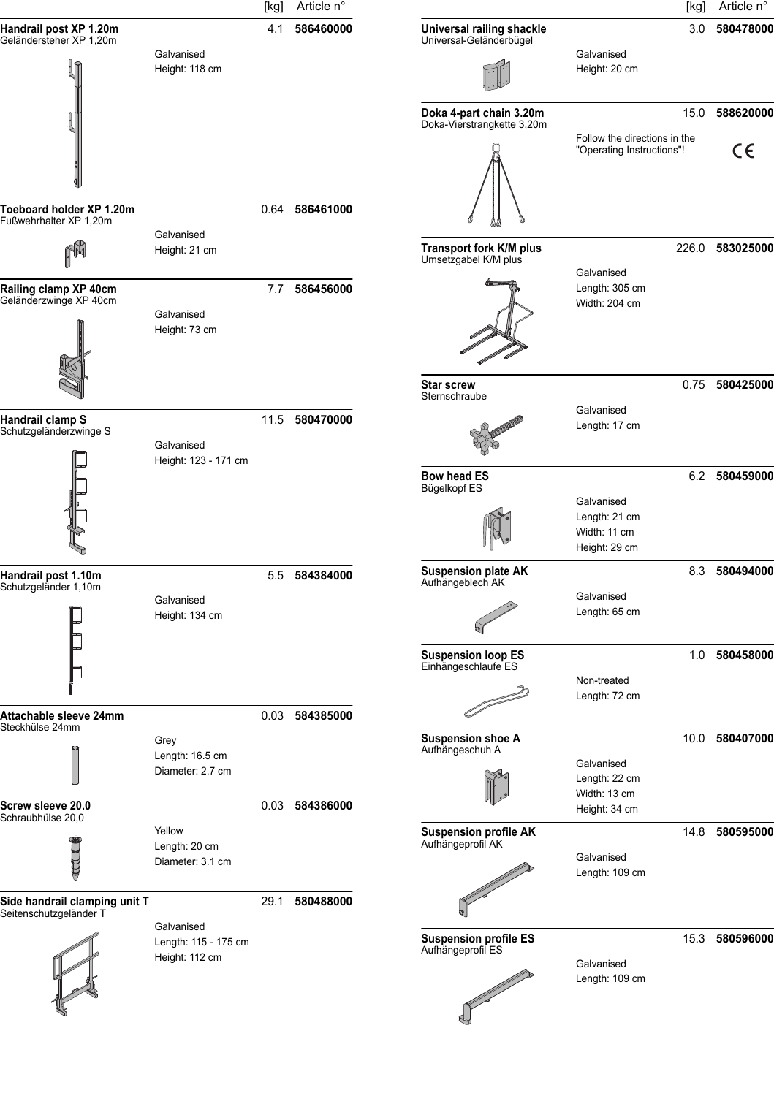